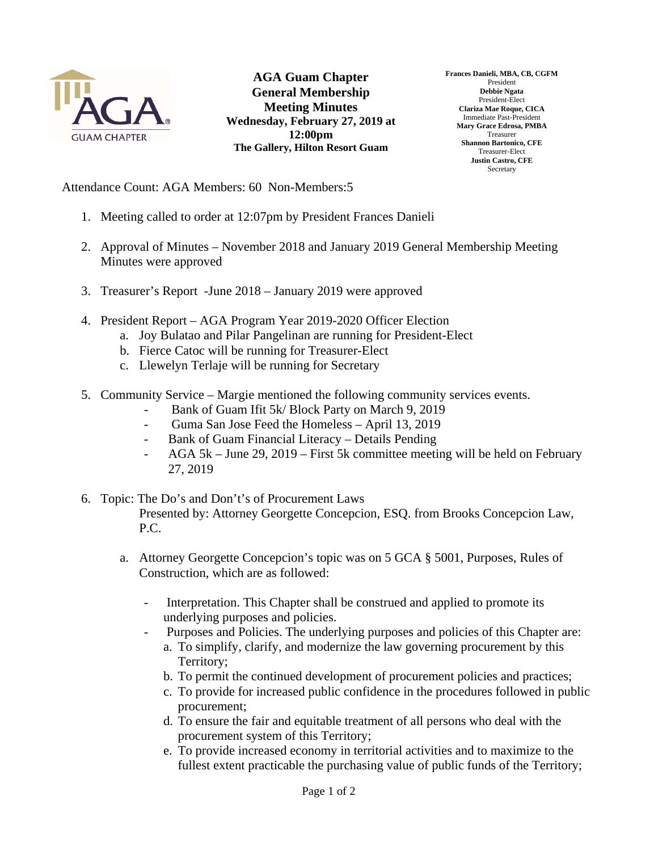

**AGA Guam Chapter General Membership Meeting Minutes Wednesday, February 27, 2019 at 12:00pm The Gallery, Hilton Resort Guam** 

**Frances Danieli, MBA, CB, CGFM**  President **Debbie Ngata**  President-Elect **Clariza Mae Roque, CICA**  Immediate Past-President **Mary Grace Edrosa, PMBA**  Treasurer **Shannon Bartonico, CFE**  Treasurer-Elect **Justin Castro, CFE Secretary** 

Attendance Count: AGA Members: 60 Non-Members:5

- 1. Meeting called to order at 12:07pm by President Frances Danieli
- 2. Approval of Minutes November 2018 and January 2019 General Membership Meeting Minutes were approved
- 3. Treasurer's Report -June 2018 January 2019 were approved
- 4. President Report AGA Program Year 2019-2020 Officer Election
	- a. Joy Bulatao and Pilar Pangelinan are running for President-Elect
	- b. Fierce Catoc will be running for Treasurer-Elect
	- c. Llewelyn Terlaje will be running for Secretary
- 5. Community Service Margie mentioned the following community services events.
	- Bank of Guam Ifit 5k/ Block Party on March 9, 2019
	- Guma San Jose Feed the Homeless April 13, 2019
	- Bank of Guam Financial Literacy Details Pending
	- AGA 5k June 29, 2019 First 5k committee meeting will be held on February 27, 2019
- 6. Topic: The Do's and Don't's of Procurement Laws Presented by: Attorney Georgette Concepcion, ESQ. from Brooks Concepcion Law, P.C.
	- a. Attorney Georgette Concepcion's topic was on 5 GCA § 5001, Purposes, Rules of Construction, which are as followed:
		- Interpretation. This Chapter shall be construed and applied to promote its underlying purposes and policies.
		- Purposes and Policies. The underlying purposes and policies of this Chapter are:
			- a. To simplify, clarify, and modernize the law governing procurement by this Territory;
			- b. To permit the continued development of procurement policies and practices;
			- c. To provide for increased public confidence in the procedures followed in public procurement;
			- d. To ensure the fair and equitable treatment of all persons who deal with the procurement system of this Territory;
			- e. To provide increased economy in territorial activities and to maximize to the fullest extent practicable the purchasing value of public funds of the Territory;